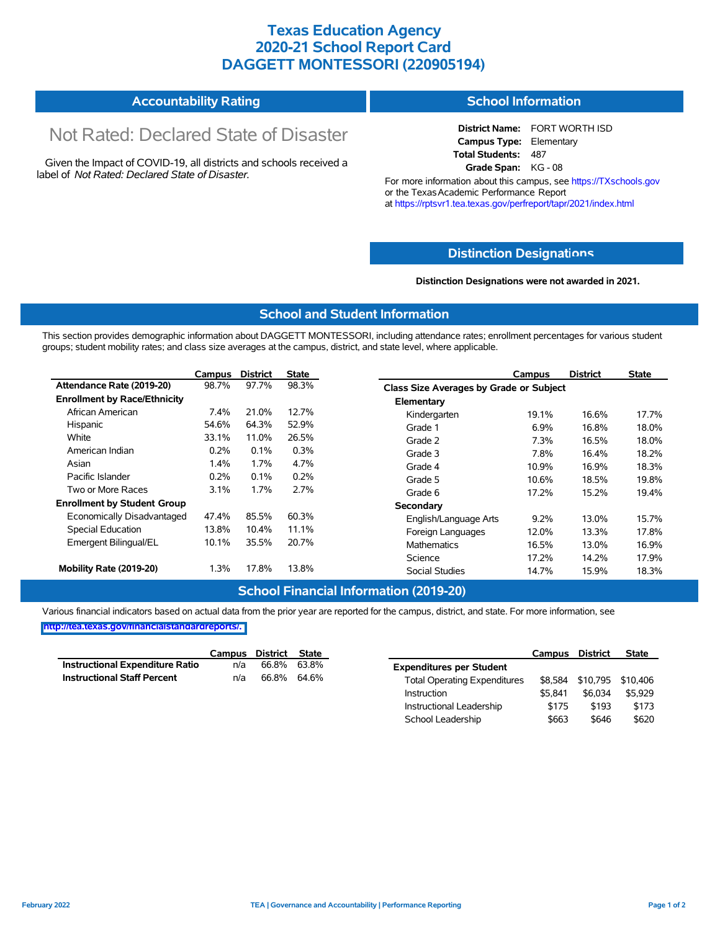# **Texas Education Agency 2020-21 School Report Card DAGGETT MONTESSORI (220905194)**

#### **Accountability Rating School Information**

# Not Rated: Declared State of Disaster

Given the Impact of COVID-19, all districts and schools received a label of *Not Rated: Declared State of Disaster.*

**District Name:** FORT WORTH ISD **Campus Type:** Elementary **Total Students:** 487 **Grade Span:** KG - 08

For more information about this campus, see https://TXschools.gov or the Texas Academic Performance Report at https://rptsvr1.tea.texas.gov/perfreport/tapr/2021/index.html

### **Distinction Designat[ions](https://TXschools.gov)**

**Distinction Designations were not awarded in 2021.**

#### **School and Student Information**

This section provides demographic information about DAGGETT MONTESSORI, including attendance rates; enrollment percentages for various student groups; student mobility rates; and class size averages at the campus, district, and state level, where applicable.

|                                     | Campus  | <b>District</b> | <b>State</b> | Campus                         | <b>District</b>                         | <b>State</b> |  |  |  |  |
|-------------------------------------|---------|-----------------|--------------|--------------------------------|-----------------------------------------|--------------|--|--|--|--|
| Attendance Rate (2019-20)           | 98.7%   | 97.7%           | 98.3%        |                                | Class Size Averages by Grade or Subject |              |  |  |  |  |
| <b>Enrollment by Race/Ethnicity</b> |         |                 |              | Elementary                     |                                         |              |  |  |  |  |
| African American                    | 7.4%    | 21.0%           | 12.7%        | Kindergarten<br>19.1%          | 16.6%                                   | 17.7%        |  |  |  |  |
| Hispanic                            | 54.6%   | 64.3%           | 52.9%        | 6.9%<br>Grade 1                | 16.8%                                   | 18.0%        |  |  |  |  |
| White                               | 33.1%   | 11.0%           | 26.5%        | 7.3%<br>Grade 2                | 16.5%                                   | 18.0%        |  |  |  |  |
| American Indian                     | 0.2%    | 0.1%            | 0.3%         | Grade 3<br>7.8%                | 16.4%                                   | 18.2%        |  |  |  |  |
| Asian                               | $1.4\%$ | 1.7%            | 4.7%         | Grade 4<br>10.9%               | 16.9%                                   | 18.3%        |  |  |  |  |
| Pacific Islander                    | 0.2%    | 0.1%            | 0.2%         | Grade 5<br>10.6%               | 18.5%                                   | 19.8%        |  |  |  |  |
| Two or More Races                   | 3.1%    | 1.7%            | 2.7%         | 17.2%<br>Grade 6               | 15.2%                                   | 19.4%        |  |  |  |  |
| <b>Enrollment by Student Group</b>  |         |                 |              | Secondary                      |                                         |              |  |  |  |  |
| Economically Disadvantaged          | 47.4%   | 85.5%           | 60.3%        | 9.2%<br>English/Language Arts  | 13.0%                                   | 15.7%        |  |  |  |  |
| Special Education                   | 13.8%   | $10.4\%$        | 11.1%        | 12.0%<br>Foreign Languages     | 13.3%                                   | 17.8%        |  |  |  |  |
| Emergent Bilingual/EL               | 10.1%   | 35.5%           | 20.7%        | <b>Mathematics</b><br>16.5%    | 13.0%                                   | 16.9%        |  |  |  |  |
|                                     |         |                 |              | Science<br>17.2%               | 14.2%                                   | 17.9%        |  |  |  |  |
| Mobility Rate (2019-20)             | 1.3%    | 17.8%           | 13.8%        | <b>Social Studies</b><br>14.7% | 15.9%                                   | 18.3%        |  |  |  |  |

#### **School Financial Information (2019-20)**

Various financial indicators based on actual data from the prior year are reported for the campus, district, and state. For more information, see **[http://tea.texas.gov/financialstandardreports/.](http://tea.texas.gov/financialstandardreports/)**

|                                        | Campus District State |             |  |
|----------------------------------------|-----------------------|-------------|--|
| <b>Instructional Expenditure Ratio</b> | n/a                   | 66.8% 63.8% |  |
| <b>Instructional Staff Percent</b>     | n/a                   | 66.8% 64.6% |  |

|                                     | Campus  | District | <b>State</b> |
|-------------------------------------|---------|----------|--------------|
| <b>Expenditures per Student</b>     |         |          |              |
| <b>Total Operating Expenditures</b> | \$8.584 | \$10,795 | \$10,406     |
| Instruction                         | \$5.841 | \$6.034  | \$5.929      |
| Instructional Leadership            | \$175   | \$193    | \$173        |
| School Leadership                   | \$663   | \$646    | \$620        |